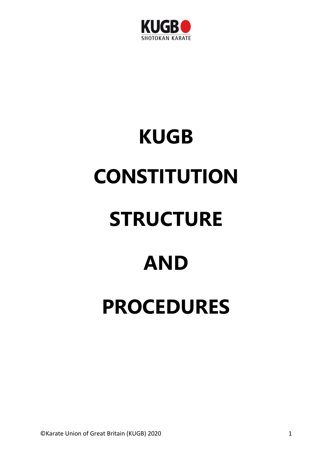

# **KUGB CONSTITUTION STRUCTURE AND PROCEDURES**

©Karate Union of Great Britain (KUGB) 2020 1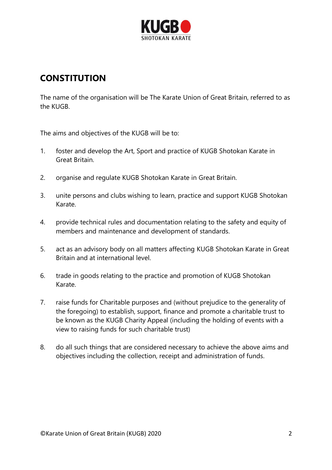

# **CONSTITUTION**

The name of the organisation will be The Karate Union of Great Britain, referred to as the KUGB.

The aims and objectives of the KUGB will be to:

- 1. foster and develop the Art, Sport and practice of KUGB Shotokan Karate in Great Britain.
- 2. organise and regulate KUGB Shotokan Karate in Great Britain.
- 3. unite persons and clubs wishing to learn, practice and support KUGB Shotokan Karate.
- 4. provide technical rules and documentation relating to the safety and equity of members and maintenance and development of standards.
- 5. act as an advisory body on all matters affecting KUGB Shotokan Karate in Great Britain and at international level.
- 6. trade in goods relating to the practice and promotion of KUGB Shotokan Karate.
- 7. raise funds for Charitable purposes and (without prejudice to the generality of the foregoing) to establish, support, finance and promote a charitable trust to be known as the KUGB Charity Appeal (including the holding of events with a view to raising funds for such charitable trust)
- 8. do all such things that are considered necessary to achieve the above aims and objectives including the collection, receipt and administration of funds.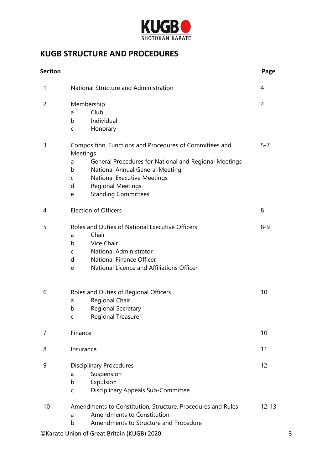

# **KUGB STRUCTURE AND PROCEDURES**

| <b>Section</b> |                                                                                                                                                                                                                                                                                          | Page      |   |
|----------------|------------------------------------------------------------------------------------------------------------------------------------------------------------------------------------------------------------------------------------------------------------------------------------------|-----------|---|
| 1              | National Structure and Administration                                                                                                                                                                                                                                                    | 4         |   |
| 2              | Membership<br>Club<br>a<br>Individual<br>b<br>Honorary<br>$\mathsf C$                                                                                                                                                                                                                    | 4         |   |
| 3              | Composition, Functions and Procedures of Committees and<br>Meetings<br>General Procedures for National and Regional Meetings<br>a<br>National Annual General Meeting<br>b<br><b>National Executive Meetings</b><br>C<br><b>Regional Meetings</b><br>d<br><b>Standing Committees</b><br>e | $5 - 7$   |   |
| 4              | <b>Election of Officers</b>                                                                                                                                                                                                                                                              | 8         |   |
| 5              | Roles and Duties of National Executive Officers<br>Chair<br>a<br>Vice Chair<br>b<br><b>National Administrator</b><br>C<br>National Finance Officer<br>d<br>National Licence and Affiliations Officer<br>e                                                                                | $8 - 9$   |   |
| 6              | Roles and Duties of Regional Officers<br>Regional Chair<br>a<br>Regional Secretary<br>b<br><b>Regional Treasurer</b><br>C                                                                                                                                                                | 10        |   |
| 7              | Finance                                                                                                                                                                                                                                                                                  | 10        |   |
| 8              | Insurance                                                                                                                                                                                                                                                                                | 11        |   |
| 9              | <b>Disciplinary Procedures</b><br>Suspension<br>a<br>Expulsion<br>b<br>Disciplinary Appeals Sub-Committee<br>$\mathsf C$                                                                                                                                                                 | 12        |   |
| 10             | Amendments to Constitution, Structure, Procedures and Rules<br>Amendments to Constitution<br>a<br>b<br>Amendments to Structure and Procedure                                                                                                                                             | $12 - 13$ |   |
|                | ©Karate Union of Great Britain (KUGB) 2020                                                                                                                                                                                                                                               |           | 3 |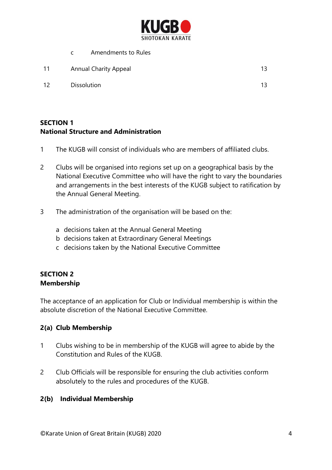

- c Amendments to Rules
- 11 Annual Charity Appeal 13
- 12 Dissolution 13

# **SECTION 1 National Structure and Administration**

- 1 The KUGB will consist of individuals who are members of affiliated clubs.
- 2 Clubs will be organised into regions set up on a geographical basis by the National Executive Committee who will have the right to vary the boundaries and arrangements in the best interests of the KUGB subject to ratification by the Annual General Meeting.
- 3 The administration of the organisation will be based on the:
	- a decisions taken at the Annual General Meeting
	- b decisions taken at Extraordinary General Meetings
	- c decisions taken by the National Executive Committee

#### **SECTION 2 Membership**

The acceptance of an application for Club or Individual membership is within the absolute discretion of the National Executive Committee.

#### **2(a) Club Membership**

- 1 Clubs wishing to be in membership of the KUGB will agree to abide by the Constitution and Rules of the KUGB.
- 2 Club Officials will be responsible for ensuring the club activities conform absolutely to the rules and procedures of the KUGB.

#### **2(b) Individual Membership**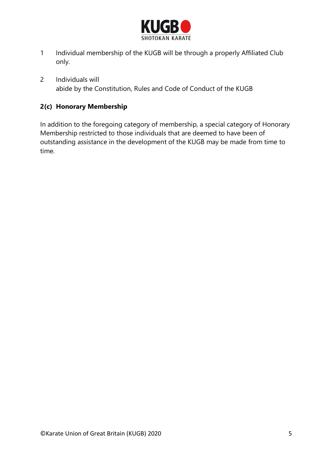

- 1 Individual membership of the KUGB will be through a properly Affiliated Club only.
- 2 Individuals will abide by the Constitution, Rules and Code of Conduct of the KUGB

# **2(c) Honorary Membership**

In addition to the foregoing category of membership, a special category of Honorary Membership restricted to those individuals that are deemed to have been of outstanding assistance in the development of the KUGB may be made from time to time.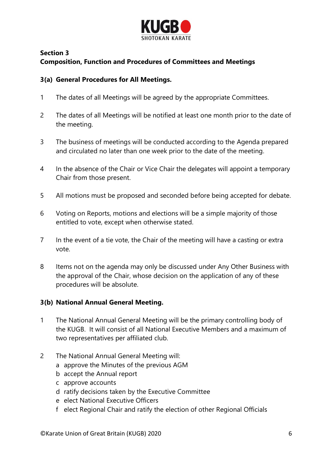

# **Section 3 Composition, Function and Procedures of Committees and Meetings**

#### **3(a) General Procedures for All Meetings.**

- 1 The dates of all Meetings will be agreed by the appropriate Committees.
- 2 The dates of all Meetings will be notified at least one month prior to the date of the meeting.
- 3 The business of meetings will be conducted according to the Agenda prepared and circulated no later than one week prior to the date of the meeting.
- 4 In the absence of the Chair or Vice Chair the delegates will appoint a temporary Chair from those present.
- 5 All motions must be proposed and seconded before being accepted for debate.
- 6 Voting on Reports, motions and elections will be a simple majority of those entitled to vote, except when otherwise stated.
- 7 In the event of a tie vote, the Chair of the meeting will have a casting or extra vote.
- 8 Items not on the agenda may only be discussed under Any Other Business with the approval of the Chair, whose decision on the application of any of these procedures will be absolute.

#### **3(b) National Annual General Meeting.**

- 1 The National Annual General Meeting will be the primary controlling body of the KUGB. It will consist of all National Executive Members and a maximum of two representatives per affiliated club.
- 2 The National Annual General Meeting will:
	- a approve the Minutes of the previous AGM
	- b accept the Annual report
	- c approve accounts
	- d ratify decisions taken by the Executive Committee
	- e elect National Executive Officers
	- f elect Regional Chair and ratify the election of other Regional Officials

©Karate Union of Great Britain (KUGB) 2020 6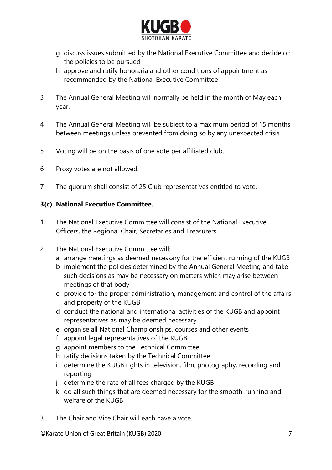

- g discuss issues submitted by the National Executive Committee and decide on the policies to be pursued
- h approve and ratify honoraria and other conditions of appointment as recommended by the National Executive Committee
- 3 The Annual General Meeting will normally be held in the month of May each year.
- 4 The Annual General Meeting will be subject to a maximum period of 15 months between meetings unless prevented from doing so by any unexpected crisis.
- 5 Voting will be on the basis of one vote per affiliated club.
- 6 Proxy votes are not allowed.
- 7 The quorum shall consist of 25 Club representatives entitled to vote.

### **3(c) National Executive Committee.**

- 1 The National Executive Committee will consist of the National Executive Officers, the Regional Chair, Secretaries and Treasurers.
- 2 The National Executive Committee will:
	- a arrange meetings as deemed necessary for the efficient running of the KUGB
	- b implement the policies determined by the Annual General Meeting and take such decisions as may be necessary on matters which may arise between meetings of that body
	- c provide for the proper administration, management and control of the affairs and property of the KUGB
	- d conduct the national and international activities of the KUGB and appoint representatives as may be deemed necessary
	- e organise all National Championships, courses and other events
	- f appoint legal representatives of the KUGB
	- g appoint members to the Technical Committee
	- h ratify decisions taken by the Technical Committee
	- i determine the KUGB rights in television, film, photography, recording and reporting
	- j determine the rate of all fees charged by the KUGB
	- k do all such things that are deemed necessary for the smooth-running and welfare of the KUGB
- 3 The Chair and Vice Chair will each have a vote.

©Karate Union of Great Britain (KUGB) 2020 7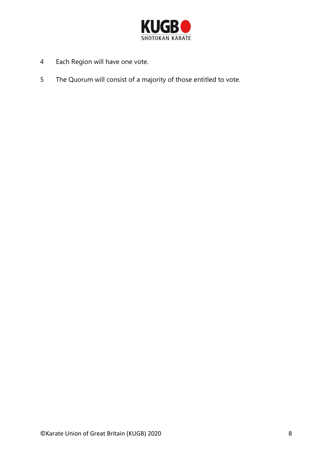

- Each Region will have one vote.
- The Quorum will consist of a majority of those entitled to vote.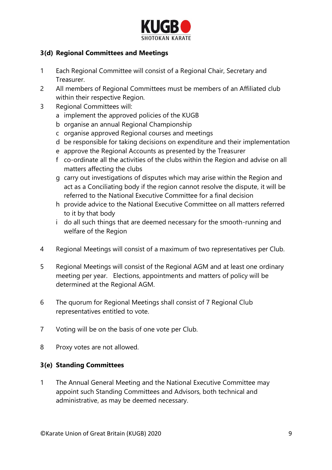

#### **3(d) Regional Committees and Meetings**

- 1 Each Regional Committee will consist of a Regional Chair, Secretary and Treasurer.
- 2 All members of Regional Committees must be members of an Affiliated club within their respective Region.
- 3 Regional Committees will:
	- a implement the approved policies of the KUGB
	- b organise an annual Regional Championship
	- c organise approved Regional courses and meetings
	- d be responsible for taking decisions on expenditure and their implementation
	- e approve the Regional Accounts as presented by the Treasurer
	- f co-ordinate all the activities of the clubs within the Region and advise on all matters affecting the clubs
	- g carry out investigations of disputes which may arise within the Region and act as a Conciliating body if the region cannot resolve the dispute, it will be referred to the National Executive Committee for a final decision
	- h provide advice to the National Executive Committee on all matters referred to it by that body
	- i do all such things that are deemed necessary for the smooth-running and welfare of the Region
- 4 Regional Meetings will consist of a maximum of two representatives per Club.
- 5 Regional Meetings will consist of the Regional AGM and at least one ordinary meeting per year. Elections, appointments and matters of policy will be determined at the Regional AGM.
- 6 The quorum for Regional Meetings shall consist of 7 Regional Club representatives entitled to vote.
- 7 Voting will be on the basis of one vote per Club.
- 8 Proxy votes are not allowed.

#### **3(e) Standing Committees**

1 The Annual General Meeting and the National Executive Committee may appoint such Standing Committees and Advisors, both technical and administrative, as may be deemed necessary.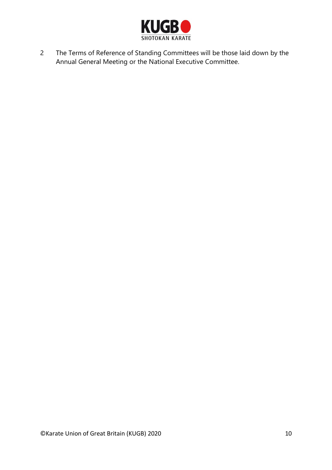

2 The Terms of Reference of Standing Committees will be those laid down by the Annual General Meeting or the National Executive Committee.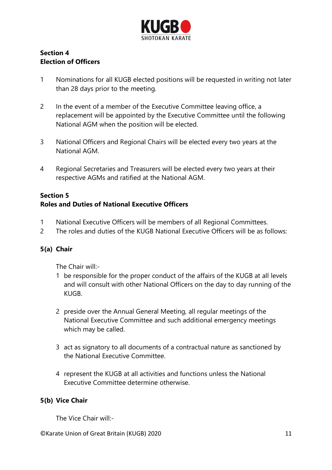

# **Section 4 Election of Officers**

- 1 Nominations for all KUGB elected positions will be requested in writing not later than 28 days prior to the meeting.
- 2 In the event of a member of the Executive Committee leaving office, a replacement will be appointed by the Executive Committee until the following National AGM when the position will be elected.
- 3 National Officers and Regional Chairs will be elected every two years at the National AGM.
- 4 Regional Secretaries and Treasurers will be elected every two years at their respective AGMs and ratified at the National AGM.

# **Section 5 Roles and Duties of National Executive Officers**

- 1 National Executive Officers will be members of all Regional Committees.
- 2 The roles and duties of the KUGB National Executive Officers will be as follows:

# **5(a) Chair**

The Chair will:-

- 1 be responsible for the proper conduct of the affairs of the KUGB at all levels and will consult with other National Officers on the day to day running of the KUGB.
- 2 preside over the Annual General Meeting, all regular meetings of the National Executive Committee and such additional emergency meetings which may be called.
- 3 act as signatory to all documents of a contractual nature as sanctioned by the National Executive Committee.
- 4 represent the KUGB at all activities and functions unless the National Executive Committee determine otherwise.

# **5(b) Vice Chair**

The Vice Chair will:-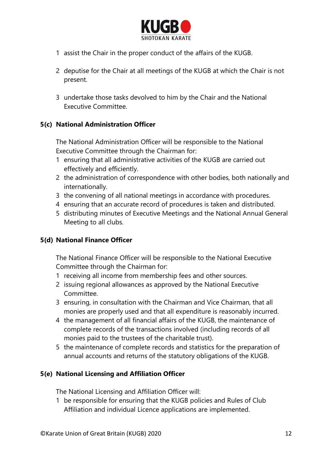

- 1 assist the Chair in the proper conduct of the affairs of the KUGB.
- 2 deputise for the Chair at all meetings of the KUGB at which the Chair is not present.
- 3 undertake those tasks devolved to him by the Chair and the National Executive Committee.

#### **5(c) National Administration Officer**

The National Administration Officer will be responsible to the National Executive Committee through the Chairman for:

- 1 ensuring that all administrative activities of the KUGB are carried out effectively and efficiently.
- 2 the administration of correspondence with other bodies, both nationally and internationally.
- 3 the convening of all national meetings in accordance with procedures.
- 4 ensuring that an accurate record of procedures is taken and distributed.
- 5 distributing minutes of Executive Meetings and the National Annual General Meeting to all clubs.

# **5(d) National Finance Officer**

The National Finance Officer will be responsible to the National Executive Committee through the Chairman for:

- 1 receiving all income from membership fees and other sources.
- 2 issuing regional allowances as approved by the National Executive Committee.
- 3 ensuring, in consultation with the Chairman and Vice Chairman, that all monies are properly used and that all expenditure is reasonably incurred.
- 4 the management of all financial affairs of the KUGB, the maintenance of complete records of the transactions involved (including records of all monies paid to the trustees of the charitable trust).
- 5 the maintenance of complete records and statistics for the preparation of annual accounts and returns of the statutory obligations of the KUGB.

# **5(e) National Licensing and Affiliation Officer**

The National Licensing and Affiliation Officer will:

1 be responsible for ensuring that the KUGB policies and Rules of Club Affiliation and individual Licence applications are implemented.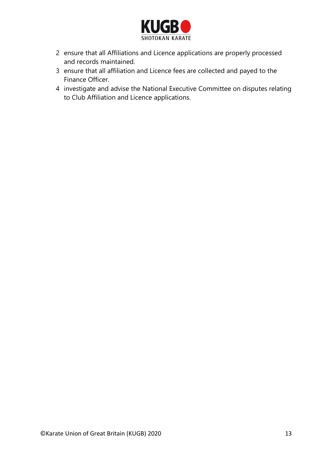

- 2 ensure that all Affiliations and Licence applications are properly processed and records maintained.
- 3 ensure that all affiliation and Licence fees are collected and payed to the Finance Officer.
- 4 investigate and advise the National Executive Committee on disputes relating to Club Affiliation and Licence applications.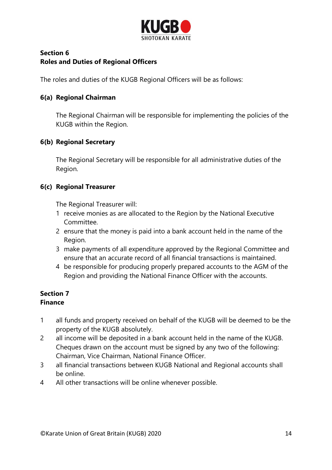

# **Section 6 Roles and Duties of Regional Officers**

The roles and duties of the KUGB Regional Officers will be as follows:

### **6(a) Regional Chairman**

The Regional Chairman will be responsible for implementing the policies of the KUGB within the Region.

### **6(b) Regional Secretary**

The Regional Secretary will be responsible for all administrative duties of the Region.

#### **6(c) Regional Treasurer**

The Regional Treasurer will:

- 1 receive monies as are allocated to the Region by the National Executive Committee.
- 2 ensure that the money is paid into a bank account held in the name of the Region.
- 3 make payments of all expenditure approved by the Regional Committee and ensure that an accurate record of all financial transactions is maintained.
- 4 be responsible for producing properly prepared accounts to the AGM of the Region and providing the National Finance Officer with the accounts.

#### **Section 7 Finance**

- 1 all funds and property received on behalf of the KUGB will be deemed to be the property of the KUGB absolutely.
- 2 all income will be deposited in a bank account held in the name of the KUGB. Cheques drawn on the account must be signed by any two of the following: Chairman, Vice Chairman, National Finance Officer.
- 3 all financial transactions between KUGB National and Regional accounts shall be online.
- 4 All other transactions will be online whenever possible.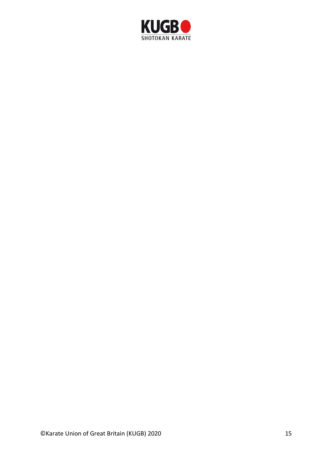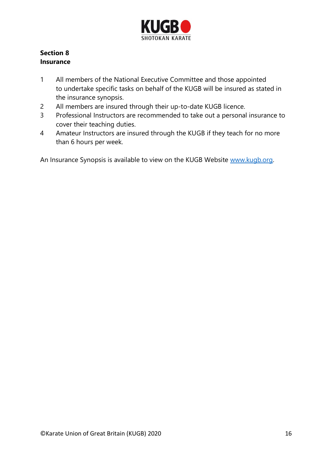

# **Section 8 Insurance**

- 1 All members of the National Executive Committee and those appointed to undertake specific tasks on behalf of the KUGB will be insured as stated in the insurance synopsis.
- 2 All members are insured through their up-to-date KUGB licence.
- 3 Professional Instructors are recommended to take out a personal insurance to cover their teaching duties.
- 4 Amateur Instructors are insured through the KUGB if they teach for no more than 6 hours per week.

An Insurance Synopsis is available to view on the KUGB Website [www.kugb.org.](http://www.kugb.org/)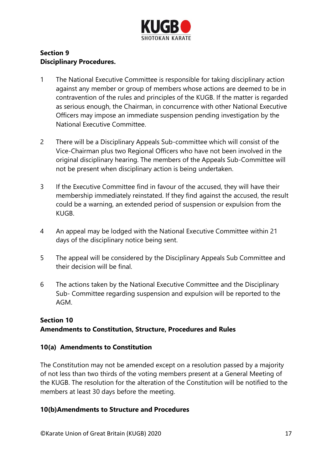

# **Section 9 Disciplinary Procedures.**

- 1 The National Executive Committee is responsible for taking disciplinary action against any member or group of members whose actions are deemed to be in contravention of the rules and principles of the KUGB. If the matter is regarded as serious enough, the Chairman, in concurrence with other National Executive Officers may impose an immediate suspension pending investigation by the National Executive Committee.
- 2 There will be a Disciplinary Appeals Sub-committee which will consist of the Vice-Chairman plus two Regional Officers who have not been involved in the original disciplinary hearing. The members of the Appeals Sub-Committee will not be present when disciplinary action is being undertaken.
- 3 If the Executive Committee find in favour of the accused, they will have their membership immediately reinstated. If they find against the accused, the result could be a warning, an extended period of suspension or expulsion from the **KUGB**
- 4 An appeal may be lodged with the National Executive Committee within 21 days of the disciplinary notice being sent.
- 5 The appeal will be considered by the Disciplinary Appeals Sub Committee and their decision will be final.
- 6 The actions taken by the National Executive Committee and the Disciplinary Sub- Committee regarding suspension and expulsion will be reported to the AGM.

# **Section 10 Amendments to Constitution, Structure, Procedures and Rules**

# **10(a) Amendments to Constitution**

The Constitution may not be amended except on a resolution passed by a majority of not less than two thirds of the voting members present at a General Meeting of the KUGB. The resolution for the alteration of the Constitution will be notified to the members at least 30 days before the meeting.

# **10(b)Amendments to Structure and Procedures**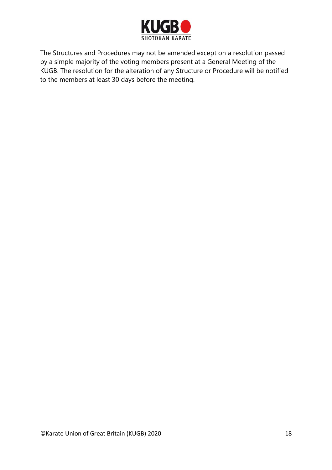

The Structures and Procedures may not be amended except on a resolution passed by a simple majority of the voting members present at a General Meeting of the KUGB. The resolution for the alteration of any Structure or Procedure will be notified to the members at least 30 days before the meeting.